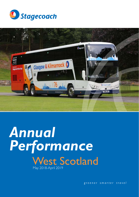



# *Annual Performance* West Scotland

greener smarter travel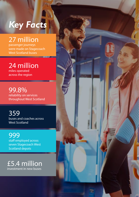## *Key Facts*

### 27 million

passenger journeys were made on Stagecoach West Scotland buses

#### 24 million miles operated

across the region

99.8% reliability on services throughout West Scotland

359 buses and coaches across West Scotland

999 staff employed across seven Stagecoach West Scotland depots

£5.4 million investment in new buses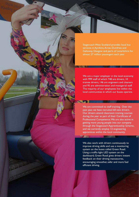Stagecoach West Scotland provides local bus services in Ayrshire, Arran, Dumfries and Galloway, Glasgow and parts of Lanarkshire for almost 27 million passengers each year.

We are a major employer in the local economy with 999 staff of which 748 are drivers, 10 trainee drivers, 146 are engineers and cleaners and 95 are administration and managerial staff. The majority of our employees live within the local communities in which our buses operate.

We are committed to staff training. Over the past year, we have recruited 60 new drivers. .<br>Our drivers attend classroom training courses during the year as part of their Certificate of Professional Competence. We are also active in getting more young people into our company through the Stagecoach Apprenticeship Scheme, and we currently employ 12 engineering apprentices within the local community.

We also work with drivers continuously to improve driving skills and use a monitoring system on the buses called Green Road. Using a traffic-light LED system on the dashboard, Green Road gives drivers instant feedback on their driving manoeuvres, encouraging smoother, safer and more fuel efficient driving.

ARABASSASSAS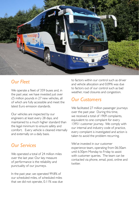

#### *Our Fleet*

We operate a fleet of 359 buses and, in the past year, we have invested just over £5 million pounds in 27 new vehicles, all of which are fully accessible and meet the latest Euro emission standards.

Our vehicles are inspected by our engineers at least every 28 days, and maintained to a much higher standard than the legal minimum to ensure safety and comfort. Every vehicle is cleaned internally and externally on a daily basis.

#### *Our Services*

We operated a total of 24 million miles over the last year. Our key measure of performance is the reliability and punctuality of our journeys.

In the past year, we operated 99.8% of our scheduled miles, of scheduled miles that we did not operate, 0.11% was due

to factors within our control such as driver and vehicle allocation and 0.09% was due to factors out of our control such as bad weather, road closures and congestion.

#### *Our Customers*

We facilitated 27 million passenger journeys over the past year. During this time, we received a total of 1909 complaints, equivalent to one complaint for every 13951 customer journey. We comply with our internal and industry code of practice, every complaint is investigated and action is taken to avoid the problem recurring.

We've invested in our customer experience team, operating from 06:30am until 6:30pm Monday to Friday to assist with customer queries. The team can be contacted via phone, email, post, online and twitter.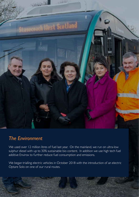

#### *The Environment*

We used over 12 million litres of fuel last year. On the mainland, we run on ultra-low sulphur diesel with up to 30% sustainable bio content. In addition we use high tech fuel additive Envirox to further reduce fuel consumption and emissions.

We began trialling electric vehicles in October 2018 with the introduction of an electric Optare Solo on one of our rural routes.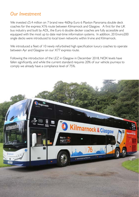#### *Our Investment*

We invested £5.4 million on 7 brand new 460hp Euro 6 Plaxton Panorama double deck coaches for the express X76 route between Kilmarnock and Glasgow. A first for the UK bus industry and built by ADL, the Euro 6 double decker coaches are fully accessible and equipped with the most up to date real-time information systems. In addition, 20 Enviro200 single decks were introduced to local town networks within Irvine and Kilmarnock.

We introduced a fleet of 10 newly refurbished high specification luxury coaches to operate between Ayr and Glasgow on our X77 express route.

Following the introduction of the LEZ in Glasgow in December 2018, NOX levels have fallen significantly, and while the current standard requires 20% of our vehicle journeys to comply we already have a compliance level of 75%.

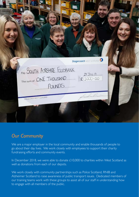|                                                      | Stagecoach MEST SCORAND |  |
|------------------------------------------------------|-------------------------|--|
| Pay SOUTH AYRSHIRE FOODBANK                          |                         |  |
| The sum of ONE THOUSAND $  E_{1000}^{29} \cdot 1000$ |                         |  |
| POUNDS                                               |                         |  |
|                                                      |                         |  |
| STAGECOACH WEST SCOTLAND                             |                         |  |
|                                                      |                         |  |
|                                                      |                         |  |

#### *Our Community*

We are a major employer in the local community and enable thousands of people to go about their day lives. We work closely with employees to support their charity fundraising efforts and community events.

In December 2018, we were able to donate  $£10,000$  to charities within West Scotland as well as donations from each of our depots.

We work closely with community partnerships such as Police Scotland, RNIB and Alzheimer Scotland to raise awareness of public transport issues. Dedicated members of our training teams work with these groups to assist all of our staff in understanding how to engage with all members of the public.